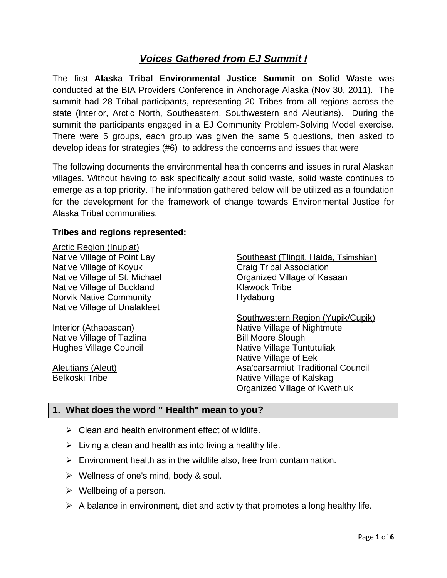# *Voices Gathered from EJ Summit I*

The first **Alaska Tribal Environmental Justice Summit on Solid Waste** was conducted at the BIA Providers Conference in Anchorage Alaska (Nov 30, 2011). The summit had 28 Tribal participants, representing 20 Tribes from all regions across the state (Interior, Arctic North, Southeastern, Southwestern and Aleutians). During the summit the participants engaged in a EJ Community Problem-Solving Model exercise. There were 5 groups, each group was given the same 5 questions, then asked to develop ideas for strategies (#6) to address the concerns and issues that were

The following documents the environmental health concerns and issues in rural Alaskan villages. Without having to ask specifically about solid waste, solid waste continues to emerge as a top priority. The information gathered below will be utilized as a foundation for the development for the framework of change towards Environmental Justice for Alaska Tribal communities.

### **Tribes and regions represented:**

Arctic Region (Inupiat) Native Village of Point Lay Native Village of Koyuk Native Village of St. Michael Native Village of Buckland Norvik Native Community Native Village of Unalakleet

Interior (Athabascan) Native Village of Tazlina Hughes Village Council

Aleutians (Aleut) Belkoski Tribe

Southeast (Tlingit, Haida, Tsimshian) Craig Tribal Association Organized Village of Kasaan Klawock Tribe Hydaburg

Southwestern Region (Yupik/Cupik) Native Village of Nightmute Bill Moore Slough Native Village Tuntutuliak Native Village of Eek Asa'carsarmiut Traditional Council Native Village of Kalskag Organized Village of Kwethluk

### **1. What does the word " Health" mean to you?**

- $\triangleright$  Clean and health environment effect of wildlife.
- $\triangleright$  Living a clean and health as into living a healthy life.
- $\triangleright$  Environment health as in the wildlife also, free from contamination.
- $\triangleright$  Wellness of one's mind, body & soul.
- $\triangleright$  Wellbeing of a person.
- $\triangleright$  A balance in environment, diet and activity that promotes a long healthy life.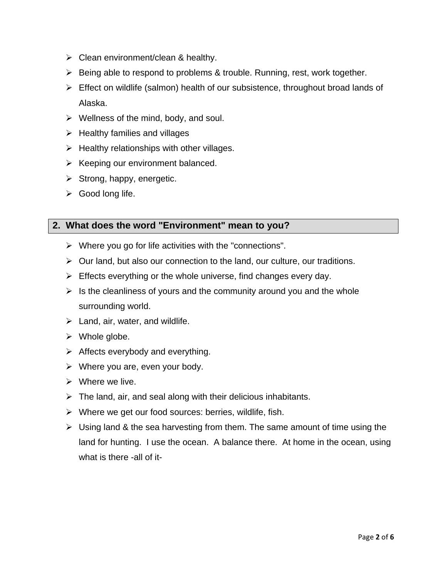- $\triangleright$  Clean environment/clean & healthy.
- $\triangleright$  Being able to respond to problems & trouble. Running, rest, work together.
- $\triangleright$  Effect on wildlife (salmon) health of our subsistence, throughout broad lands of Alaska.
- $\triangleright$  Wellness of the mind, body, and soul.
- $\triangleright$  Healthy families and villages
- $\triangleright$  Healthy relationships with other villages.
- $\triangleright$  Keeping our environment balanced.
- $\triangleright$  Strong, happy, energetic.
- $\triangleright$  Good long life.

## **2. What does the word "Environment" mean to you?**

- $\triangleright$  Where you go for life activities with the "connections".
- $\triangleright$  Our land, but also our connection to the land, our culture, our traditions.
- $\triangleright$  Effects everything or the whole universe, find changes every day.
- $\triangleright$  Is the cleanliness of yours and the community around you and the whole surrounding world.
- $\triangleright$  Land, air, water, and wildlife.
- $\triangleright$  Whole globe.
- $\triangleright$  Affects everybody and everything.
- $\triangleright$  Where you are, even your body.
- $\triangleright$  Where we live.
- $\triangleright$  The land, air, and seal along with their delicious inhabitants.
- $\triangleright$  Where we get our food sources: berries, wildlife, fish.
- $\triangleright$  Using land & the sea harvesting from them. The same amount of time using the land for hunting. I use the ocean. A balance there. At home in the ocean, using what is there -all of it-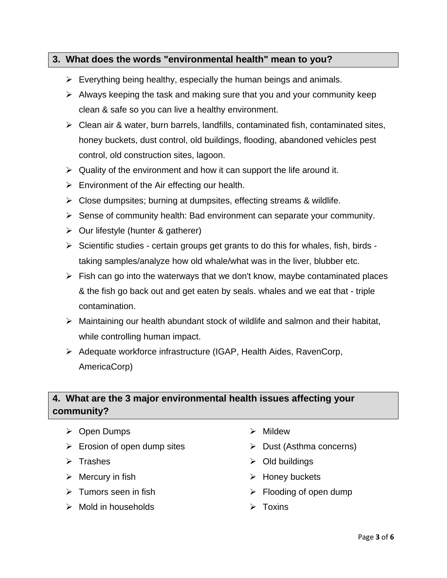### **3. What does the words "environmental health" mean to you?**

- $\triangleright$  Everything being healthy, especially the human beings and animals.
- $\triangleright$  Always keeping the task and making sure that you and your community keep clean & safe so you can live a healthy environment.
- $\triangleright$  Clean air & water, burn barrels, landfills, contaminated fish, contaminated sites, honey buckets, dust control, old buildings, flooding, abandoned vehicles pest control, old construction sites, lagoon.
- $\triangleright$  Quality of the environment and how it can support the life around it.
- $\triangleright$  Environment of the Air effecting our health.
- $\triangleright$  Close dumpsites; burning at dumpsites, effecting streams & wildlife.
- $\triangleright$  Sense of community health: Bad environment can separate your community.
- $\triangleright$  Our lifestyle (hunter & gatherer)
- $\triangleright$  Scientific studies certain groups get grants to do this for whales, fish, birds taking samples/analyze how old whale/what was in the liver, blubber etc.
- $\triangleright$  Fish can go into the waterways that we don't know, maybe contaminated places & the fish go back out and get eaten by seals. whales and we eat that - triple contamination.
- $\triangleright$  Maintaining our health abundant stock of wildlife and salmon and their habitat, while controlling human impact.
- Adequate workforce infrastructure (IGAP, Health Aides, RavenCorp, AmericaCorp)

## **4. What are the 3 major environmental health issues affecting your community?**

- Open Dumps
- $\triangleright$  Erosion of open dump sites
- $\triangleright$  Trashes
- $\triangleright$  Mercury in fish
- $\triangleright$  Tumors seen in fish
- $\triangleright$  Mold in households
- > Mildew
- $\triangleright$  Dust (Asthma concerns)
- $\triangleright$  Old buildings
- $\triangleright$  Honey buckets
- $\triangleright$  Flooding of open dump
- $\triangleright$  Toxins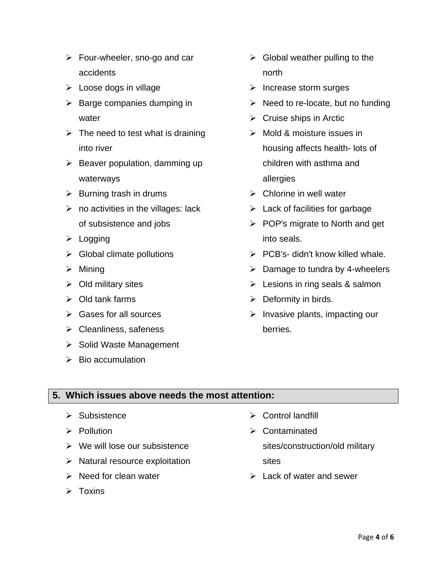- $\triangleright$  Four-wheeler, sno-go and car accidents
- $\triangleright$  Loose dogs in village
- $\triangleright$  Barge companies dumping in water
- $\triangleright$  The need to test what is draining into river
- $\triangleright$  Beaver population, damming up waterways
- $\triangleright$  Burning trash in drums
- $\triangleright$  no activities in the villages: lack of subsistence and jobs
- $\triangleright$  Logging
- $\triangleright$  Global climate pollutions
- $\triangleright$  Mining
- $\triangleright$  Old military sites
- $\triangleright$  Old tank farms
- $\triangleright$  Gases for all sources
- $\triangleright$  Cleanliness, safeness
- $\triangleright$  Solid Waste Management
- $\triangleright$  Bio accumulation
- $\triangleright$  Global weather pulling to the north
- $\triangleright$  Increase storm surges
- $\triangleright$  Need to re-locate, but no funding
- $\triangleright$  Cruise ships in Arctic
- $\triangleright$  Mold & moisture issues in housing affects health- lots of children with asthma and allergies
- $\triangleright$  Chlorine in well water
- $\blacktriangleright$  Lack of facilities for garbage
- $\triangleright$  POP's migrate to North and get into seals.
- $\triangleright$  PCB's- didn't know killed whale.
- $\triangleright$  Damage to tundra by 4-wheelers
- $\triangleright$  Lesions in ring seals & salmon
- $\triangleright$  Deformity in birds.
- $\triangleright$  Invasive plants, impacting our berries.

### **5. Which issues above needs the most attention:**

- $\triangleright$  Subsistence
- $\triangleright$  Pollution
- $\triangleright$  We will lose our subsistence
- $\triangleright$  Natural resource exploitation
- $\triangleright$  Need for clean water
- $\triangleright$  Toxins
- $\triangleright$  Control landfill
- Contaminated sites/construction/old military sites
- $\triangleright$  Lack of water and sewer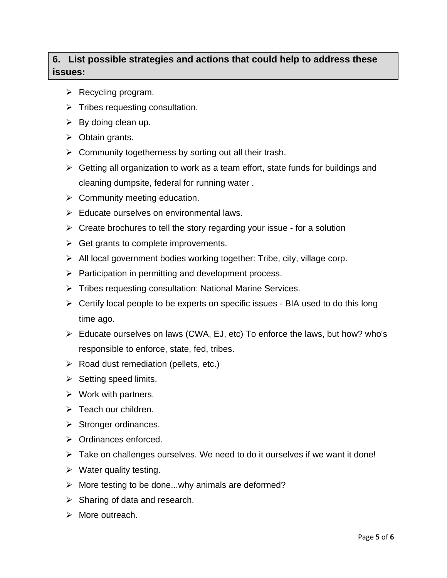# **6. List possible strategies and actions that could help to address these issues:**

- $\triangleright$  Recycling program.
- $\triangleright$  Tribes requesting consultation.
- $\triangleright$  By doing clean up.
- $\triangleright$  Obtain grants.
- $\triangleright$  Community togetherness by sorting out all their trash.
- $\triangleright$  Getting all organization to work as a team effort, state funds for buildings and cleaning dumpsite, federal for running water .
- $\triangleright$  Community meeting education.
- $\triangleright$  Educate ourselves on environmental laws.
- $\triangleright$  Create brochures to tell the story regarding your issue for a solution
- $\triangleright$  Get grants to complete improvements.
- $\triangleright$  All local government bodies working together: Tribe, city, village corp.
- $\triangleright$  Participation in permitting and development process.
- > Tribes requesting consultation: National Marine Services.
- $\triangleright$  Certify local people to be experts on specific issues BIA used to do this long time ago.
- $\triangleright$  Educate ourselves on laws (CWA, EJ, etc) To enforce the laws, but how? who's responsible to enforce, state, fed, tribes.
- $\triangleright$  Road dust remediation (pellets, etc.)
- $\triangleright$  Setting speed limits.
- $\triangleright$  Work with partners.
- $\triangleright$  Teach our children.
- $\triangleright$  Stronger ordinances.
- $\triangleright$  Ordinances enforced.
- > Take on challenges ourselves. We need to do it ourselves if we want it done!
- $\triangleright$  Water quality testing.
- $\triangleright$  More testing to be done...why animals are deformed?
- $\triangleright$  Sharing of data and research.
- $\triangleright$  More outreach.